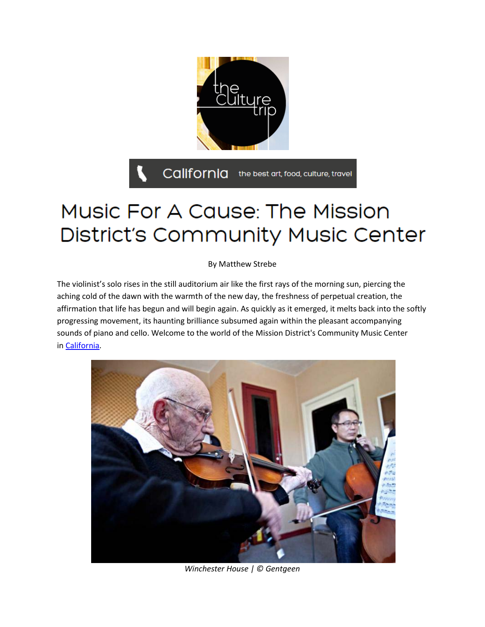

## Music For A Cause: The Mission District's Community Music Center

By Matthew Strebe

The violinist's solo rises in the still auditorium air like the first rays of the morning sun, piercing the aching cold of the dawn with the warmth of the new day, the freshness of perpetual creation, the affirmation that life has begun and will begin again. As quickly as it emerged, it melts back into the softly progressing movement, its haunting brilliance subsumed again within the pleasant accompanying sounds of piano and cello. Welcome to the world of the Mission District's Community Music Center in [California.](http://theculturetrip.com/north-america/usa/california/)



*Winchester House | © Gentgeen*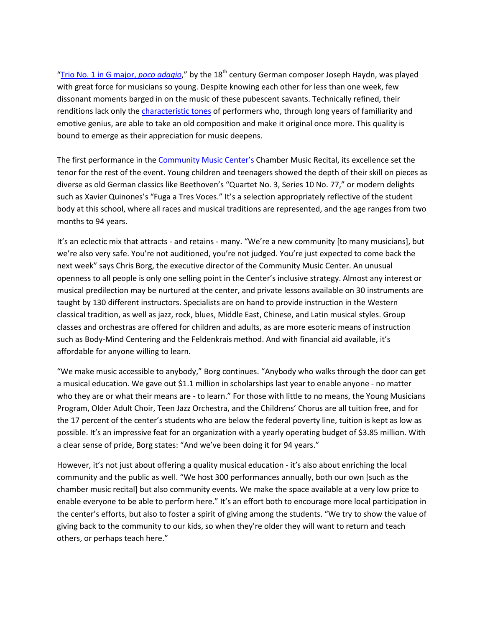["Trio No. 1 in G major,](https://www.youtube.com/watch?v=xE-BKBkbr0I) *poco adagio*," by the 18<sup>th</sup> century German composer Joseph Haydn, was played with great force for musicians so young. Despite knowing each other for less than one week, few dissonant moments barged in on the music of these pubescent savants. Technically refined, their renditions lack only the *[characteristic tones](https://www.youtube.com/watch?v=oBDmAxSFt6A)* of performers who, through long years of familiarity and emotive genius, are able to take an old composition and make it original once more. This quality is bound to emerge as their appreciation for music deepens.

The first performance in the [Community Music Center's](http://sfcmc.org/) Chamber Music Recital, its excellence set the tenor for the rest of the event. Young children and teenagers showed the depth of their skill on pieces as diverse as old German classics like Beethoven's "Quartet No. 3, Series 10 No. 77," or modern delights such as Xavier Quinones's "Fuga a Tres Voces." It's a selection appropriately reflective of the student body at this school, where all races and musical traditions are represented, and the age ranges from two months to 94 years.

It's an eclectic mix that attracts - and retains - many. "We're a new community [to many musicians], but we're also very safe. You're not auditioned, you're not judged. You're just expected to come back the next week" says Chris Borg, the executive director of the Community Music Center. An unusual openness to all people is only one selling point in the Center's inclusive strategy. Almost any interest or musical predilection may be nurtured at the center, and private lessons available on 30 instruments are taught by 130 different instructors. Specialists are on hand to provide instruction in the Western classical tradition, as well as jazz, rock, blues, Middle East, Chinese, and Latin musical styles. Group classes and orchestras are offered for children and adults, as are more esoteric means of instruction such as Body-Mind Centering and the Feldenkrais method. And with financial aid available, it's affordable for anyone willing to learn.

"We make music accessible to anybody," Borg continues. "Anybody who walks through the door can get a musical education. We gave out \$1.1 million in scholarships last year to enable anyone - no matter who they are or what their means are - to learn." For those with little to no means, the Young Musicians Program, Older Adult Choir, Teen Jazz Orchestra, and the Childrens' Chorus are all tuition free, and for the 17 percent of the center's students who are below the federal poverty line, tuition is kept as low as possible. It's an impressive feat for an organization with a yearly operating budget of \$3.85 million. With a clear sense of pride, Borg states: "And we've been doing it for 94 years."

However, it's not just about offering a quality musical education - it's also about enriching the local community and the public as well. "We host 300 performances annually, both our own [such as the chamber music recital] but also community events. We make the space available at a very low price to enable everyone to be able to perform here." It's an effort both to encourage more local participation in the center's efforts, but also to foster a spirit of giving among the students. "We try to show the value of giving back to the community to our kids, so when they're older they will want to return and teach others, or perhaps teach here."